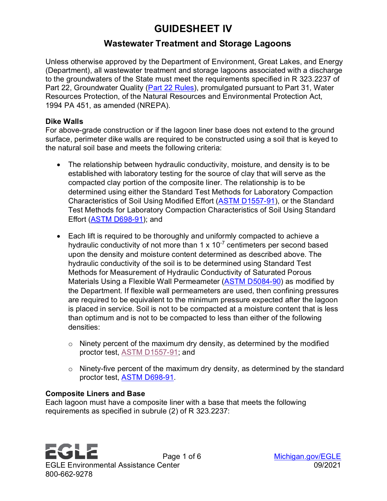# **GUIDESHEET IV**

# **Wastewater Treatment and Storage Lagoons**

Unless otherwise approved by the Department of Environment, Great Lakes, and Energy (Department), all wastewater treatment and storage lagoons associated with a discharge to the groundwaters of the State must meet the requirements specified in R 323.2237 of Part 22, Groundwater Quality [\(Part 22 Rules\)](https://ars.apps.lara.state.mi.us/AdminCode/DownloadAdminCodeFile?FileName=R%20323.2201%20to%20R%20323.2240.pdf&ReturnHTML=True), promulgated pursuant to Part 31, Water Resources Protection, of the Natural Resources and Environmental Protection Act, 1994 PA 451, as amended (NREPA).

#### **Dike Walls**

For above-grade construction or if the lagoon liner base does not extend to the ground surface, perimeter dike walls are required to be constructed using a soil that is keyed to the natural soil base and meets the following criteria:

- The relationship between hydraulic conductivity, moisture, and density is to be established with laboratory testing for the source of clay that will serve as the compacted clay portion of the composite liner. The relationship is to be determined using either the Standard Test Methods for Laboratory Compaction Characteristics of Soil Using Modified Effort [\(ASTM D1557-91\)](https://www.astm.org/Standards/D1557), or the Standard Test Methods for Laboratory Compaction Characteristics of Soil Using Standard Effort [\(ASTM D698-91\)](https://www.astm.org/Standards/D698.htm); and
- Each lift is required to be thoroughly and uniformly compacted to achieve a hydraulic conductivity of not more than  $1 \times 10^{-7}$  centimeters per second based upon the density and moisture content determined as described above. The hydraulic conductivity of the soil is to be determined using Standard Test Methods for Measurement of Hydraulic Conductivity of Saturated Porous Materials Using a Flexible Wall Permeameter [\(ASTM D5084-90\)](https://www.astm.org/Standards/D5084.htm) as modified by the Department. If flexible wall permeameters are used, then confining pressures are required to be equivalent to the minimum pressure expected after the lagoon is placed in service. Soil is not to be compacted at a moisture content that is less than optimum and is not to be compacted to less than either of the following densities:
	- $\circ$  Ninety percent of the maximum dry density, as determined by the modified proctor test, [ASTM D1557-91;](https://www.astm.org/Standards/D1557) and
	- $\circ$  Ninety-five percent of the maximum dry density, as determined by the standard proctor test, [ASTM D698-91.](https://www.astm.org/Standards/D698.htm)

#### **Composite Liners and Base**

Each lagoon must have a composite liner with a base that meets the following requirements as specified in subrule (2) of R 323.2237:

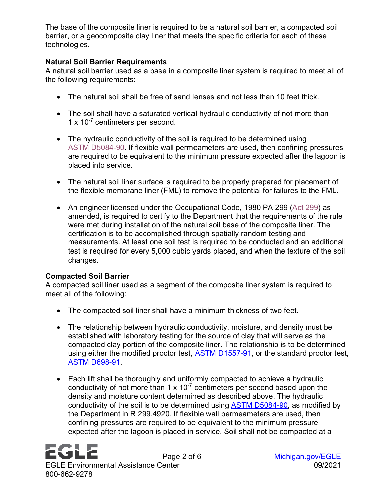The base of the composite liner is required to be a natural soil barrier, a compacted soil barrier, or a geocomposite clay liner that meets the specific criteria for each of these technologies.

### **Natural Soil Barrier Requirements**

A natural soil barrier used as a base in a composite liner system is required to meet all of the following requirements:

- The natural soil shall be free of sand lenses and not less than 10 feet thick.
- The soil shall have a saturated vertical hydraulic conductivity of not more than 1 x 10<sup>-7</sup> centimeters per second.
- The hydraulic conductivity of the soil is required to be determined using ASTM [D5084-90.](https://www.astm.org/Standards/D5084.htm) If flexible wall permeameters are used, then confining pressures are required to be equivalent to the minimum pressure expected after the lagoon is placed into service.
- The natural soil liner surface is required to be properly prepared for placement of the flexible membrane liner (FML) to remove the potential for failures to the FML.
- An engineer licensed under the Occupational Code, 1980 PA 299 [\(Act 299\)](http://www.legislature.mi.gov/documents/mcl/pdf/mcl-act-299-of-1980.pdf) as amended, is required to certify to the Department that the requirements of the rule were met during installation of the natural soil base of the composite liner. The certification is to be accomplished through spatially random testing and measurements. At least one soil test is required to be conducted and an additional test is required for every 5,000 cubic yards placed, and when the texture of the soil changes.

#### **Compacted Soil Barrier**

A compacted soil liner used as a segment of the composite liner system is required to meet all of the following:

- The compacted soil liner shall have a minimum thickness of two feet.
- The relationship between hydraulic conductivity, moisture, and density must be established with laboratory testing for the source of clay that will serve as the compacted clay portion of the composite liner. The relationship is to be determined using either the modified proctor test, **ASTM D1557-91**, or the standard proctor test, [ASTM D698-91.](https://www.astm.org/Standards/D698.htm)
- Each lift shall be thoroughly and uniformly compacted to achieve a hydraulic conductivity of not more than 1 x  $10^{-7}$  centimeters per second based upon the density and moisture content determined as described above. The hydraulic conductivity of the soil is to be determined using [ASTM D5084-90,](https://www.astm.org/Standards/D5084.htm) as modified by the Department in R 299.4920. If flexible wall permeameters are used, then confining pressures are required to be equivalent to the minimum pressure expected after the lagoon is placed in service. Soil shall not be compacted at a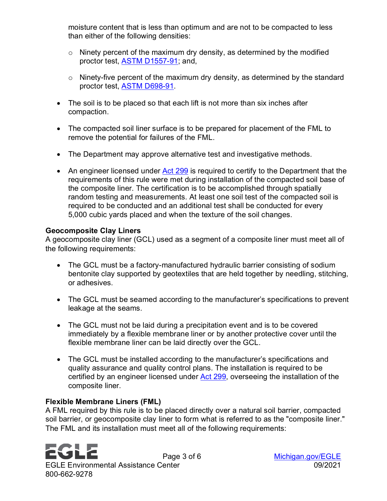moisture content that is less than optimum and are not to be compacted to less than either of the following densities:

- $\circ$  Ninety percent of the maximum dry density, as determined by the modified proctor test, [ASTM D1557-91;](https://www.astm.org/Standards/D1557) and,
- $\circ$  Ninety-five percent of the maximum dry density, as determined by the standard proctor test, [ASTM D698-91.](https://www.astm.org/Standards/D698.htm)
- The soil is to be placed so that each lift is not more than six inches after compaction.
- The compacted soil liner surface is to be prepared for placement of the FML to remove the potential for failures of the FML.
- The Department may approve alternative test and investigative methods.
- An engineer licensed under Act [299](http://www.legislature.mi.gov/documents/mcl/pdf/mcl-act-299-of-1980.pdf) is required to certify to the Department that the requirements of this rule were met during installation of the compacted soil base of the composite liner. The certification is to be accomplished through spatially random testing and measurements. At least one soil test of the compacted soil is required to be conducted and an additional test shall be conducted for every 5,000 cubic yards placed and when the texture of the soil changes.

#### **Geocomposite Clay Liners**

A geocomposite clay liner (GCL) used as a segment of a composite liner must meet all of the following requirements:

- The GCL must be a factory-manufactured hydraulic barrier consisting of sodium bentonite clay supported by geotextiles that are held together by needling, stitching, or adhesives.
- The GCL must be seamed according to the manufacturer's specifications to prevent leakage at the seams.
- The GCL must not be laid during a precipitation event and is to be covered immediately by a flexible membrane liner or by another protective cover until the flexible membrane liner can be laid directly over the GCL.
- The GCL must be installed according to the manufacturer's specifications and quality assurance and quality control plans. The installation is required to be certified by an engineer licensed under [Act 299,](http://www.legislature.mi.gov/documents/mcl/pdf/mcl-act-299-of-1980.pdf) overseeing the installation of the composite liner.

#### **Flexible Membrane Liners (FML)**

A FML required by this rule is to be placed directly over a natural soil barrier, compacted soil barrier, or geocomposite clay liner to form what is referred to as the "composite liner." The FML and its installation must meet all of the following requirements:

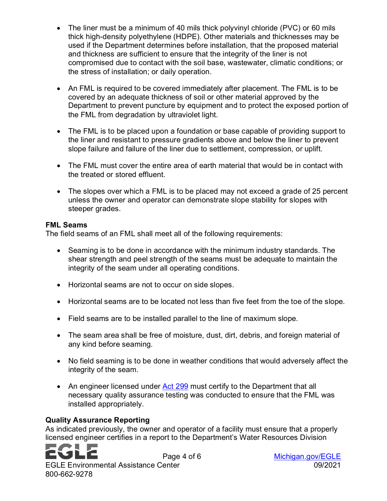- The liner must be a minimum of 40 mils thick polyvinyl chloride (PVC) or 60 mils thick high-density polyethylene (HDPE). Other materials and thicknesses may be used if the Department determines before installation, that the proposed material and thickness are sufficient to ensure that the integrity of the liner is not compromised due to contact with the soil base, wastewater, climatic conditions; or the stress of installation; or daily operation.
- An FML is required to be covered immediately after placement. The FML is to be covered by an adequate thickness of soil or other material approved by the Department to prevent puncture by equipment and to protect the exposed portion of the FML from degradation by ultraviolet light.
- The FML is to be placed upon a foundation or base capable of providing support to the liner and resistant to pressure gradients above and below the liner to prevent slope failure and failure of the liner due to settlement, compression, or uplift.
- The FML must cover the entire area of earth material that would be in contact with the treated or stored effluent.
- The slopes over which a FML is to be placed may not exceed a grade of 25 percent unless the owner and operator can demonstrate slope stability for slopes with steeper grades.

#### **FML Seams**

The field seams of an FML shall meet all of the following requirements:

- Seaming is to be done in accordance with the minimum industry standards. The shear strength and peel strength of the seams must be adequate to maintain the integrity of the seam under all operating conditions.
- Horizontal seams are not to occur on side slopes.
- Horizontal seams are to be located not less than five feet from the toe of the slope.
- Field seams are to be installed parallel to the line of maximum slope.
- The seam area shall be free of moisture, dust, dirt, debris, and foreign material of any kind before seaming.
- No field seaming is to be done in weather conditions that would adversely affect the integrity of the seam.
- An engineer licensed under [Act 299](http://www.legislature.mi.gov/documents/mcl/pdf/mcl-act-299-of-1980.pdf) must certify to the Department that all necessary quality assurance testing was conducted to ensure that the FML was installed appropriately.

## **Quality Assurance Reporting**

As indicated previously, the owner and operator of a facility must ensure that a properly licensed engineer certifies in a report to the Department's Water Resources Division

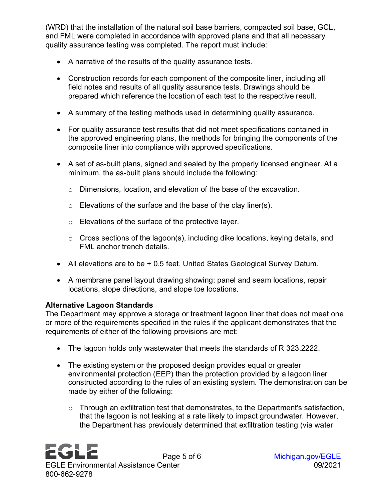(WRD) that the installation of the natural soil base barriers, compacted soil base, GCL, and FML were completed in accordance with approved plans and that all necessary quality assurance testing was completed. The report must include:

- A narrative of the results of the quality assurance tests.
- Construction records for each component of the composite liner, including all field notes and results of all quality assurance tests. Drawings should be prepared which reference the location of each test to the respective result.
- A summary of the testing methods used in determining quality assurance.
- For quality assurance test results that did not meet specifications contained in the approved engineering plans, the methods for bringing the components of the composite liner into compliance with approved specifications.
- A set of as-built plans, signed and sealed by the properly licensed engineer. At a minimum, the as-built plans should include the following:
	- o Dimensions, location, and elevation of the base of the excavation.
	- o Elevations of the surface and the base of the clay liner(s).
	- o Elevations of the surface of the protective layer.
	- $\circ$  Cross sections of the lagoon(s), including dike locations, keying details, and FML anchor trench details.
- All elevations are to be  $\pm$  0.5 feet, United States Geological Survey Datum.
- A membrane panel layout drawing showing; panel and seam locations, repair locations, slope directions, and slope toe locations.

## **Alternative Lagoon Standards**

The Department may approve a storage or treatment lagoon liner that does not meet one or more of the requirements specified in the rules if the applicant demonstrates that the requirements of either of the following provisions are met:

- The lagoon holds only wastewater that meets the standards of R 323.2222.
- The existing system or the proposed design provides equal or greater environmental protection (EEP) than the protection provided by a lagoon liner constructed according to the rules of an existing system. The demonstration can be made by either of the following:
	- $\circ$  Through an exfiltration test that demonstrates, to the Department's satisfaction, that the lagoon is not leaking at a rate likely to impact groundwater. However, the Department has previously determined that exfiltration testing (via water